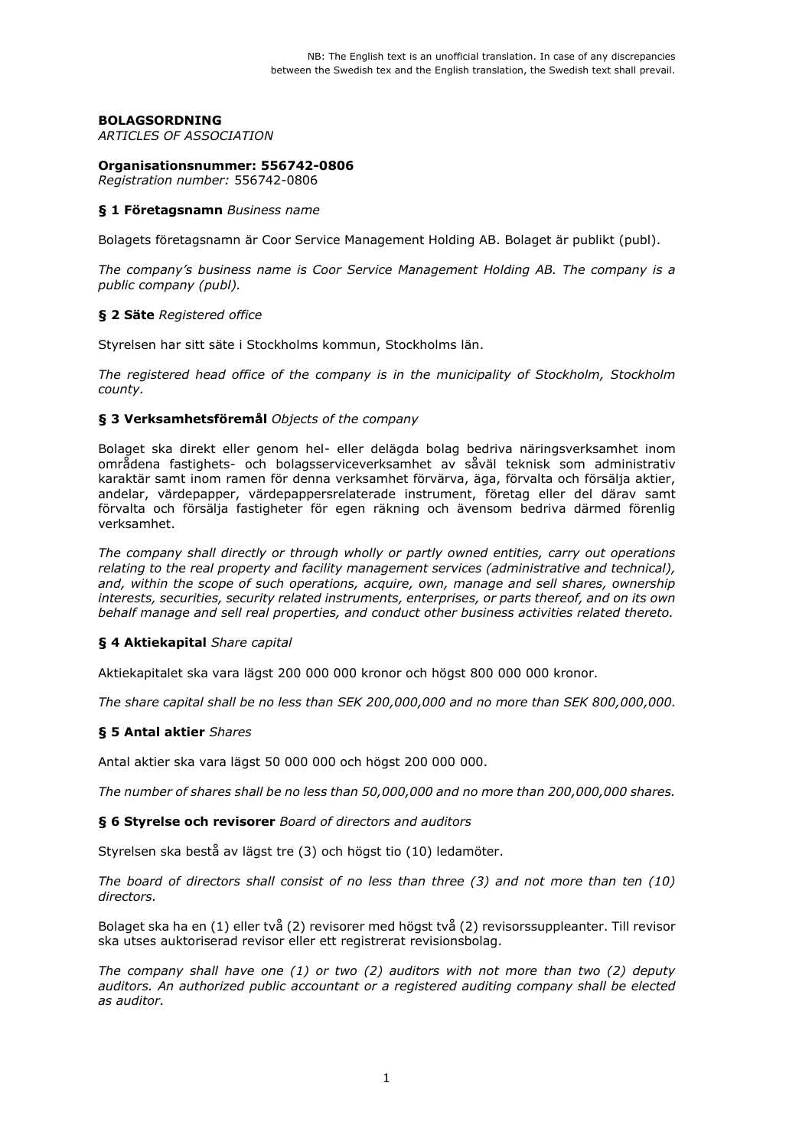# **BOLAGSORDNING**

*ARTICLES OF ASSOCIATION*

### **Organisationsnummer: 556742-0806**

*Registration number:* 556742-0806

#### **§ 1 Företagsnamn** *Business name*

Bolagets företagsnamn är Coor Service Management Holding AB. Bolaget är publikt (publ).

*The company's business name is Coor Service Management Holding AB. The company is a public company (publ).*

#### **§ 2 Säte** *Registered office*

Styrelsen har sitt säte i Stockholms kommun, Stockholms län.

*The registered head office of the company is in the municipality of Stockholm, Stockholm county.*

#### **§ 3 Verksamhetsföremål** *Objects of the company*

Bolaget ska direkt eller genom hel- eller delägda bolag bedriva näringsverksamhet inom områdena fastighets- och bolagsserviceverksamhet av såväl teknisk som administrativ karaktär samt inom ramen för denna verksamhet förvärva, äga, förvalta och försälja aktier, andelar, värdepapper, värdepappersrelaterade instrument, företag eller del därav samt förvalta och försälja fastigheter för egen räkning och ävensom bedriva därmed förenlig verksamhet.

*The company shall directly or through wholly or partly owned entities, carry out operations relating to the real property and facility management services (administrative and technical), and, within the scope of such operations, acquire, own, manage and sell shares, ownership interests, securities, security related instruments, enterprises, or parts thereof, and on its own behalf manage and sell real properties, and conduct other business activities related thereto.*

#### **§ 4 Aktiekapital** *Share capital*

Aktiekapitalet ska vara lägst 200 000 000 kronor och högst 800 000 000 kronor.

*The share capital shall be no less than SEK 200,000,000 and no more than SEK 800,000,000.*

#### **§ 5 Antal aktier** *Shares*

Antal aktier ska vara lägst 50 000 000 och högst 200 000 000.

*The number of shares shall be no less than 50,000,000 and no more than 200,000,000 shares.*

**§ 6 Styrelse och revisorer** *Board of directors and auditors*

Styrelsen ska bestå av lägst tre (3) och högst tio (10) ledamöter.

*The board of directors shall consist of no less than three (3) and not more than ten (10) directors.*

Bolaget ska ha en (1) eller två (2) revisorer med högst två (2) revisorssuppleanter. Till revisor ska utses auktoriserad revisor eller ett registrerat revisionsbolag.

*The company shall have one (1) or two (2) auditors with not more than two (2) deputy auditors. An authorized public accountant or a registered auditing company shall be elected as auditor.*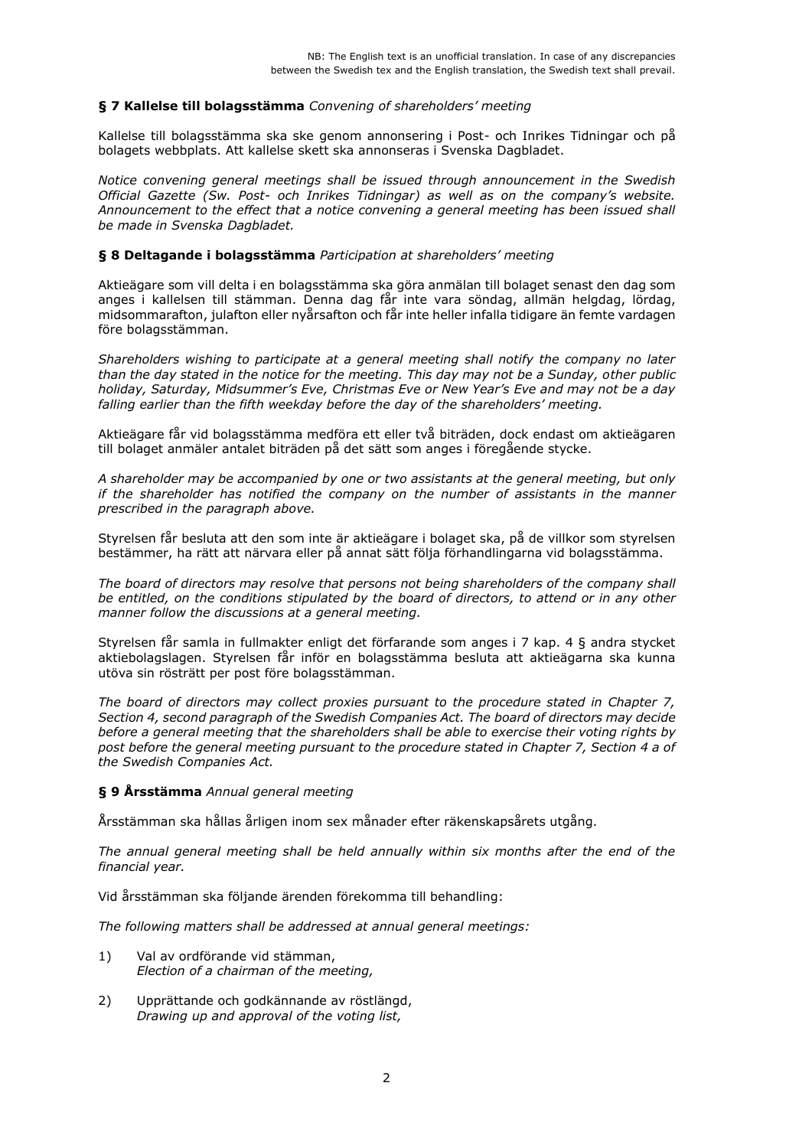## **§ 7 Kallelse till bolagsstämma** *Convening of shareholders' meeting*

Kallelse till bolagsstämma ska ske genom annonsering i Post- och Inrikes Tidningar och på bolagets webbplats. Att kallelse skett ska annonseras i Svenska Dagbladet.

*Notice convening general meetings shall be issued through announcement in the Swedish Official Gazette (Sw. Post- och Inrikes Tidningar) as well as on the company's website. Announcement to the effect that a notice convening a general meeting has been issued shall be made in Svenska Dagbladet.*

#### **§ 8 Deltagande i bolagsstämma** *Participation at shareholders' meeting*

Aktieägare som vill delta i en bolagsstämma ska göra anmälan till bolaget senast den dag som anges i kallelsen till stämman. Denna dag får inte vara söndag, allmän helgdag, lördag, midsommarafton, julafton eller nyårsafton och får inte heller infalla tidigare än femte vardagen före bolagsstämman.

*Shareholders wishing to participate at a general meeting shall notify the company no later than the day stated in the notice for the meeting. This day may not be a Sunday, other public holiday, Saturday, Midsummer's Eve, Christmas Eve or New Year's Eve and may not be a day falling earlier than the fifth weekday before the day of the shareholders' meeting.*

Aktieägare får vid bolagsstämma medföra ett eller två biträden, dock endast om aktieägaren till bolaget anmäler antalet biträden på det sätt som anges i föregående stycke.

*A shareholder may be accompanied by one or two assistants at the general meeting, but only if the shareholder has notified the company on the number of assistants in the manner prescribed in the paragraph above.*

Styrelsen får besluta att den som inte är aktieägare i bolaget ska, på de villkor som styrelsen bestämmer, ha rätt att närvara eller på annat sätt följa förhandlingarna vid bolagsstämma.

*The board of directors may resolve that persons not being shareholders of the company shall be entitled, on the conditions stipulated by the board of directors, to attend or in any other manner follow the discussions at a general meeting.*

Styrelsen får samla in fullmakter enligt det förfarande som anges i 7 kap. 4 § andra stycket aktiebolagslagen. Styrelsen får inför en bolagsstämma besluta att aktieägarna ska kunna utöva sin rösträtt per post före bolagsstämman.

*The board of directors may collect proxies pursuant to the procedure stated in Chapter 7, Section 4, second paragraph of the Swedish Companies Act. The board of directors may decide before a general meeting that the shareholders shall be able to exercise their voting rights by post before the general meeting pursuant to the procedure stated in Chapter 7, Section 4 a of the Swedish Companies Act.*

#### **§ 9 Årsstämma** *Annual general meeting*

Årsstämman ska hållas årligen inom sex månader efter räkenskapsårets utgång.

*The annual general meeting shall be held annually within six months after the end of the financial year.*

Vid årsstämman ska följande ärenden förekomma till behandling:

*The following matters shall be addressed at annual general meetings:*

- 1) Val av ordförande vid stämman, *Election of a chairman of the meeting,*
- 2) Upprättande och godkännande av röstlängd, *Drawing up and approval of the voting list,*